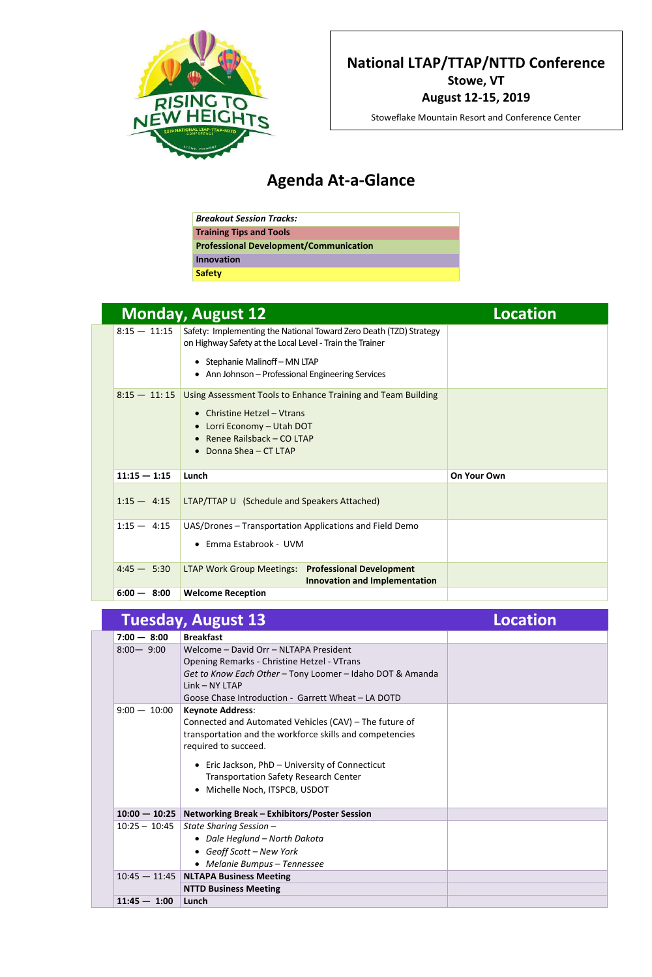## **Agenda At-a-Glance**

| <b>Breakout Session Tracks:</b>               |
|-----------------------------------------------|
| <b>Training Tips and Tools</b>                |
| <b>Professional Development/Communication</b> |
| <b>Innovation</b>                             |
| <b>Safety</b>                                 |

|                | <b>Monday, August 12</b>                                                                                                       | Location           |
|----------------|--------------------------------------------------------------------------------------------------------------------------------|--------------------|
| $8:15 - 11:15$ | Safety: Implementing the National Toward Zero Death (TZD) Strategy<br>on Highway Safety at the Local Level - Train the Trainer |                    |
|                | • Stephanie Malinoff – MN LTAP                                                                                                 |                    |
|                | • Ann Johnson – Professional Engineering Services                                                                              |                    |
| $8:15 - 11:15$ | Using Assessment Tools to Enhance Training and Team Building                                                                   |                    |
|                | <b>Christine Hetzel - Vtrans</b>                                                                                               |                    |
|                | • Lorri Economy - Utah DOT<br>Renee Railsback - CO LTAP                                                                        |                    |
|                | Donna Shea - CT LTAP<br>$\bullet$                                                                                              |                    |
| $11:15 - 1:15$ | Lunch                                                                                                                          | <b>On Your Own</b> |
| $1:15 - 4:15$  | LTAP/TTAP U (Schedule and Speakers Attached)                                                                                   |                    |
| $1:15 - 4:15$  | UAS/Drones – Transportation Applications and Field Demo                                                                        |                    |
|                | Emma Estabrook - UVM                                                                                                           |                    |

| $4:45 - 5:30$ | <b>LTAP Work Group Meetings: Professional Development</b> | Innovation and Implementation |  |
|---------------|-----------------------------------------------------------|-------------------------------|--|
| $6:00 - 8:00$ | <b>Welcome Reception</b>                                  |                               |  |

|                 | <b>Tuesday, August 13</b>                                                                                                                                                                                                                                                                                             | <b>Location</b> |
|-----------------|-----------------------------------------------------------------------------------------------------------------------------------------------------------------------------------------------------------------------------------------------------------------------------------------------------------------------|-----------------|
| $7:00 - 8:00$   | <b>Breakfast</b>                                                                                                                                                                                                                                                                                                      |                 |
| $8:00 - 9:00$   | Welcome - David Orr - NLTAPA President<br><b>Opening Remarks - Christine Hetzel - VTrans</b><br>Get to Know Each Other - Tony Loomer - Idaho DOT & Amanda<br>Link - NY LTAP<br>Goose Chase Introduction - Garrett Wheat - LA DOTD                                                                                     |                 |
| $9:00 - 10:00$  | <b>Keynote Address:</b><br>Connected and Automated Vehicles (CAV) – The future of<br>transportation and the workforce skills and competencies<br>required to succeed.<br>• Eric Jackson, PhD - University of Connecticut<br><b>Transportation Safety Research Center</b><br>Michelle Noch, ITSPCB, USDOT<br>$\bullet$ |                 |
|                 | 10:00 - 10:25   Networking Break - Exhibitors/Poster Session                                                                                                                                                                                                                                                          |                 |
| $10:25 - 10:45$ | State Sharing Session -<br>• Dale Heglund - North Dakota<br>• Geoff Scott - New York<br>• Melanie Bumpus – Tennessee                                                                                                                                                                                                  |                 |
|                 | 10:45 - 11:45 NLTAPA Business Meeting                                                                                                                                                                                                                                                                                 |                 |
|                 | <b>NTTD Business Meeting</b>                                                                                                                                                                                                                                                                                          |                 |
| $11:45 - 1:00$  | Lunch                                                                                                                                                                                                                                                                                                                 |                 |



**National LTAP/TTAP/NTTD Conference Stowe, VT August 12-15, 2019**

Stoweflake Mountain Resort and Conference Center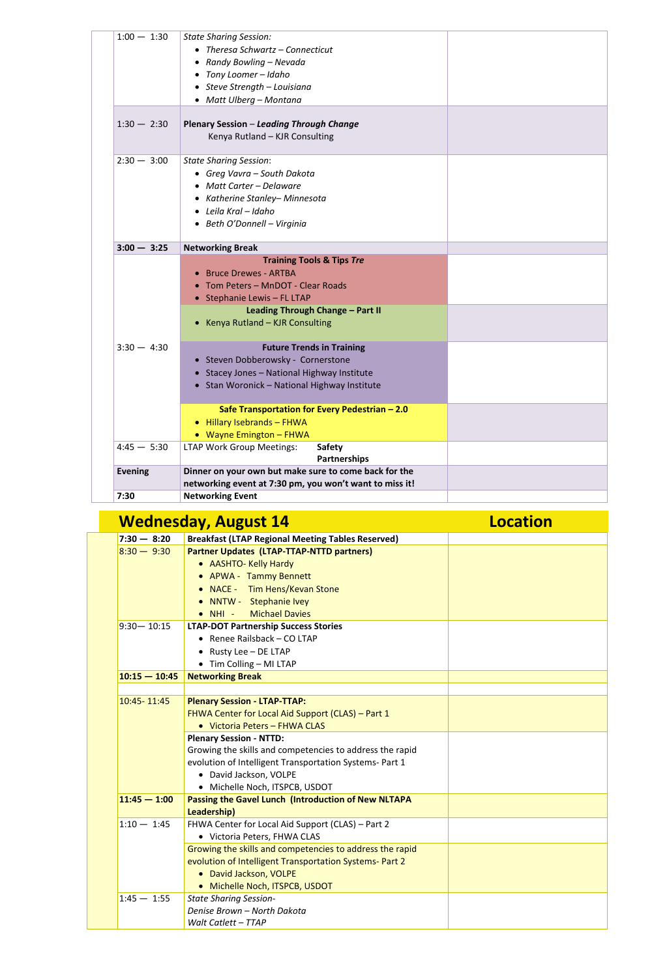|  | $1:00 - 1:30$  | <b>State Sharing Session:</b><br>• Theresa Schwartz $-$ Connecticut<br>• Randy Bowling - Nevada<br>• Tony Loomer - Idaho<br>• Steve Strength - Louisiana<br>• Matt Ulberg - Montana                                |  |
|--|----------------|--------------------------------------------------------------------------------------------------------------------------------------------------------------------------------------------------------------------|--|
|  | $1:30 - 2:30$  | <b>Plenary Session – Leading Through Change</b><br>Kenya Rutland - KJR Consulting                                                                                                                                  |  |
|  | $2:30 - 3:00$  | <b>State Sharing Session:</b><br>• Greg Vavra – South Dakota<br>• Matt Carter - Delaware<br>• Katherine Stanley– Minnesota<br>$\bullet$ Leila Kral - Idaho<br>• Beth O'Donnell - Virginia                          |  |
|  | $3:00 - 3:25$  | <b>Networking Break</b>                                                                                                                                                                                            |  |
|  |                | <b>Training Tools &amp; Tips Tre</b><br><b>Bruce Drewes - ARTBA</b><br>• Tom Peters - MnDOT - Clear Roads<br>• Stephanie Lewis $-$ FL LTAP<br>Leading Through Change - Part II<br>• Kenya Rutland - KJR Consulting |  |
|  | $3:30 - 4:30$  | <b>Future Trends in Training</b><br>• Steven Dobberowsky - Cornerstone<br>• Stacey Jones - National Highway Institute<br>• Stan Woronick - National Highway Institute                                              |  |
|  |                | Safe Transportation for Every Pedestrian - 2.0<br>Hillary Isebrands - FHWA<br>$\bullet$<br>• Wayne Emington - FHWA                                                                                                 |  |
|  | $4:45 - 5:30$  | <b>LTAP Work Group Meetings:</b><br><b>Safety</b><br><b>Partnerships</b>                                                                                                                                           |  |
|  | <b>Evening</b> | Dinner on your own but make sure to come back for the<br>networking event at 7:30 pm, you won't want to miss it!                                                                                                   |  |
|  | 7:30           | <b>Networking Event</b>                                                                                                                                                                                            |  |

|                 | <b>Wednesday, August 14</b>                              | <b>Location</b> |
|-----------------|----------------------------------------------------------|-----------------|
| $17:30 - 8:20$  | <b>Breakfast (LTAP Regional Meeting Tables Reserved)</b> |                 |
| $ 8:30 - 9:30 $ | <b>Partner Updates (LTAP-TTAP-NTTD partners)</b>         |                 |

|                 | • AASHTO- Kelly Hardy                                      |  |
|-----------------|------------------------------------------------------------|--|
|                 | • APWA - Tammy Bennett                                     |  |
|                 | • NACE - Tim Hens/Kevan Stone                              |  |
|                 | • NNTW - Stephanie Ivey                                    |  |
|                 | <b>Michael Davies</b><br>$\bullet$ NHI -                   |  |
| $9:30 - 10:15$  | <b>LTAP-DOT Partnership Success Stories</b>                |  |
|                 | • Renee Railsback $-$ CO LTAP                              |  |
|                 | • Rusty Lee $-$ DE LTAP                                    |  |
|                 | • Tim Colling - MI LTAP                                    |  |
| $10:15 - 10:45$ | <b>Networking Break</b>                                    |  |
|                 |                                                            |  |
| 10:45 - 11:45   | <b>Plenary Session - LTAP-TTAP:</b>                        |  |
|                 | FHWA Center for Local Aid Support (CLAS) – Part 1          |  |
|                 | • Victoria Peters - FHWA CLAS                              |  |
|                 | <b>Plenary Session - NTTD:</b>                             |  |
|                 | Growing the skills and competencies to address the rapid   |  |
|                 | evolution of Intelligent Transportation Systems- Part 1    |  |
|                 | • David Jackson, VOLPE                                     |  |
|                 | • Michelle Noch, ITSPCB, USDOT                             |  |
| $11:45 - 1:00$  | <b>Passing the Gavel Lunch (Introduction of New NLTAPA</b> |  |
|                 | Leadership)                                                |  |
| $1:10 - 1:45$   | FHWA Center for Local Aid Support (CLAS) – Part 2          |  |
|                 | • Victoria Peters, FHWA CLAS                               |  |
|                 | Growing the skills and competencies to address the rapid   |  |
|                 | evolution of Intelligent Transportation Systems- Part 2    |  |
|                 | • David Jackson, VOLPE                                     |  |
|                 | • Michelle Noch, ITSPCB, USDOT                             |  |
| $1:45 - 1:55$   | <b>State Sharing Session-</b>                              |  |
|                 | Denise Brown - North Dakota                                |  |
|                 | Walt Catlett - TTAP                                        |  |